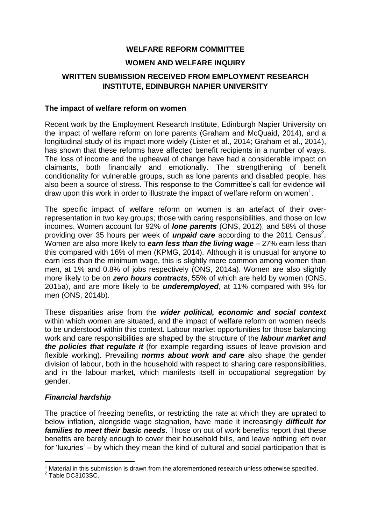## **WELFARE REFORM COMMITTEE**

### **WOMEN AND WELFARE INQUIRY**

# **WRITTEN SUBMISSION RECEIVED FROM EMPLOYMENT RESEARCH INSTITUTE, EDINBURGH NAPIER UNIVERSITY**

#### **The impact of welfare reform on women**

Recent work by the Employment Research Institute, Edinburgh Napier University on the impact of welfare reform on lone parents (Graham and McQuaid, 2014), and a longitudinal study of its impact more widely (Lister et al., 2014; Graham et al., 2014), has shown that these reforms have affected benefit recipients in a number of ways. The loss of income and the upheaval of change have had a considerable impact on claimants, both financially and emotionally. The strengthening of benefit conditionality for vulnerable groups, such as lone parents and disabled people, has also been a source of stress. This response to the Committee's call for evidence will draw upon this work in order to illustrate the impact of welfare reform on women<sup>1</sup>.

The specific impact of welfare reform on women is an artefact of their overrepresentation in two key groups; those with caring responsibilities, and those on low incomes. Women account for 92% of *lone parents* (ONS, 2012), and 58% of those providing over 35 hours per week of *unpaid care* according to the 2011 Census<sup>2</sup>. Women are also more likely to *earn less than the living wage* – 27% earn less than this compared with 16% of men (KPMG, 2014). Although it is unusual for anyone to earn less than the minimum wage, this is slightly more common among women than men, at 1% and 0.8% of jobs respectively (ONS, 2014a). Women are also slightly more likely to be on *zero hours contracts*, 55% of which are held by women (ONS, 2015a), and are more likely to be *underemployed*, at 11% compared with 9% for men (ONS, 2014b).

These disparities arise from the *wider political, economic and social context* within which women are situated, and the impact of welfare reform on women needs to be understood within this context. Labour market opportunities for those balancing work and care responsibilities are shaped by the structure of the *labour market and the policies that regulate it* (for example regarding issues of leave provision and flexible working). Prevailing *norms about work and care* also shape the gender division of labour, both in the household with respect to sharing care responsibilities, and in the labour market, which manifests itself in occupational segregation by gender.

#### *Financial hardship*

The practice of freezing benefits, or restricting the rate at which they are uprated to below inflation, alongside wage stagnation, have made it increasingly *difficult for families to meet their basic needs*. Those on out of work benefits report that these benefits are barely enough to cover their household bills, and leave nothing left over for 'luxuries' – by which they mean the kind of cultural and social participation that is

**.** 

 $1$  Material in this submission is drawn from the aforementioned research unless otherwise specified.

<sup>&</sup>lt;sup>2</sup> Table DC3103SC.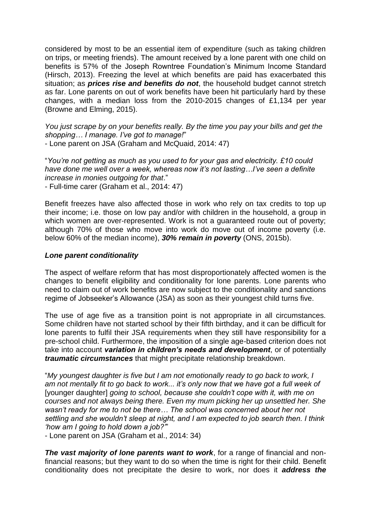considered by most to be an essential item of expenditure (such as taking children on trips, or meeting friends). The amount received by a lone parent with one child on benefits is 57% of the Joseph Rowntree Foundation's Minimum Income Standard (Hirsch, 2013). Freezing the level at which benefits are paid has exacerbated this situation; as *prices rise and benefits do not*, the household budget cannot stretch as far. Lone parents on out of work benefits have been hit particularly hard by these changes, with a median loss from the 2010-2015 changes of £1,134 per year (Browne and Elming, 2015).

*You just scrape by on your benefits really. By the time you pay your bills and get the shopping… I manage. I've got to manage!*" - Lone parent on JSA (Graham and McQuaid, 2014: 47)

"*You're not getting as much as you used to for your gas and electricity. £10 could have done me well over a week, whereas now it's not lasting…I've seen a definite increase in monies outgoing for that*."

- Full-time carer (Graham et al., 2014: 47)

Benefit freezes have also affected those in work who rely on tax credits to top up their income; i.e. those on low pay and/or with children in the household, a group in which women are over-represented. Work is not a guaranteed route out of poverty; although 70% of those who move into work do move out of income poverty (i.e. below 60% of the median income), *30% remain in poverty* (ONS, 2015b).

### *Lone parent conditionality*

The aspect of welfare reform that has most disproportionately affected women is the changes to benefit eligibility and conditionality for lone parents. Lone parents who need to claim out of work benefits are now subject to the conditionality and sanctions regime of Jobseeker's Allowance (JSA) as soon as their youngest child turns five.

The use of age five as a transition point is not appropriate in all circumstances. Some children have not started school by their fifth birthday, and it can be difficult for lone parents to fulfil their JSA requirements when they still have responsibility for a pre-school child. Furthermore, the imposition of a single age-based criterion does not take into account *variation in children's needs and development*, or of potentially *traumatic circumstances* that might precipitate relationship breakdown.

"*My youngest daughter is five but I am not emotionally ready to go back to work, I am not mentally fit to go back to work... it's only now that we have got a full week of*  [younger daughter] *going to school, because she couldn't cope with it, with me on courses and not always being there. Even my mum picking her up unsettled her. She wasn't ready for me to not be there… The school was concerned about her not settling and she wouldn't sleep at night, and I am expected to job search then. I think 'how am I going to hold down a job?'*"

- Lone parent on JSA (Graham et al., 2014: 34)

*The vast majority of lone parents want to work*, for a range of financial and nonfinancial reasons; but they want to do so when the time is right for their child. Benefit conditionality does not precipitate the desire to work, nor does it *address the*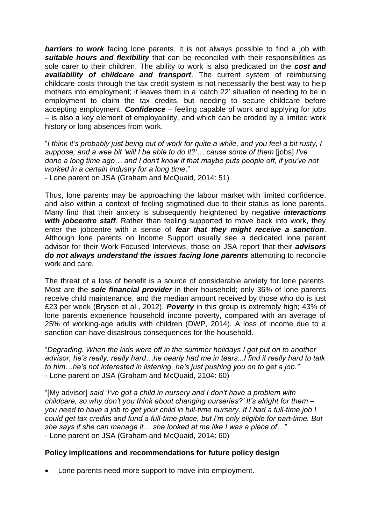*barriers to work* facing lone parents. It is not always possible to find a job with *suitable hours and flexibility* that can be reconciled with their responsibilities as sole carer to their children. The ability to work is also predicated on the *cost and availability of childcare and transport*. The current system of reimbursing childcare costs through the tax credit system is not necessarily the best way to help mothers into employment; it leaves them in a 'catch 22' situation of needing to be in employment to claim the tax credits, but needing to secure childcare before accepting employment. *Confidence* – feeling capable of work and applying for jobs – is also a key element of employability, and which can be eroded by a limited work history or long absences from work.

"*I think it's probably just being out of work for quite a while, and you feel a bit rusty, I suppose, and a wee bit 'will I be able to do it?'… cause some of them* [jobs] *I've done a long time ago… and I don't know if that maybe puts people off, if you've not worked in a certain industry for a long time*."

- Lone parent on JSA (Graham and McQuaid, 2014: 51)

Thus, lone parents may be approaching the labour market with limited confidence, and also within a context of feeling stigmatised due to their status as lone parents. Many find that their anxiety is subsequently heightened by negative *interactions with jobcentre staff*. Rather than feeling supported to move back into work, they enter the jobcentre with a sense of *fear that they might receive a sanction*. Although lone parents on Income Support usually see a dedicated lone parent advisor for their Work-Focused Interviews, those on JSA report that their *advisors do not always understand the issues facing lone parents* attempting to reconcile work and care.

The threat of a loss of benefit is a source of considerable anxiety for lone parents. Most are the *sole financial provider* in their household; only 36% of lone parents receive child maintenance, and the median amount received by those who do is just £23 per week (Bryson et al., 2012). *Poverty* in this group is extremely high; 43% of lone parents experience household income poverty, compared with an average of 25% of working-age adults with children (DWP, 2014). A loss of income due to a sanction can have disastrous consequences for the household.

"*Degrading. When the kids were off in the summer holidays I got put on to another advisor, he's really, really hard…he nearly had me in tears...I find it really hard to talk to him…he's not interested in listening, he's just pushing you on to get a job." -* Lone parent on JSA (Graham and McQuaid, 2104: 60)

"[My advisor] *said 'I've got a child in nursery and I don't have a problem with childcare, so why don't you think about changing nurseries?' It's alright for them – you need to have a job to get your child in full-time nursery. If I had a full-time job I could get tax credits and fund a full-time place, but I'm only eligible for part-time. But she says if she can manage it… she looked at me like I was a piece of…*" - Lone parent on JSA (Graham and McQuaid, 2014: 60)

### **Policy implications and recommendations for future policy design**

• Lone parents need more support to move into employment.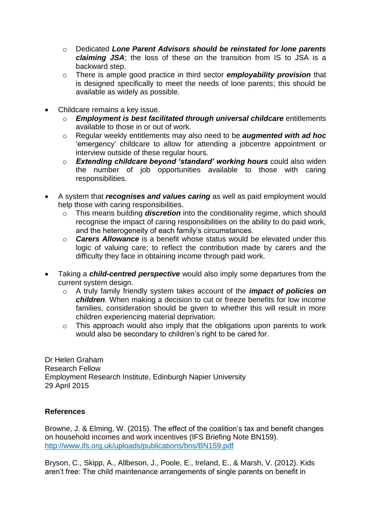- o Dedicated *Lone Parent Advisors should be reinstated for lone parents claiming JSA*; the loss of these on the transition from IS to JSA is a backward step.
- o There is ample good practice in third sector *employability provision* that is designed specifically to meet the needs of lone parents; this should be available as widely as possible.
- Childcare remains a key issue.
	- o *Employment is best facilitated through universal childcare* entitlements available to those in or out of work.
	- o Regular weekly entitlements may also need to be *augmented with ad hoc* 'emergency' childcare to allow for attending a jobcentre appointment or interview outside of these regular hours.
	- o *Extending childcare beyond 'standard' working hours* could also widen the number of job opportunities available to those with caring responsibilities.
- A system that *recognises and values caring* as well as paid employment would help those with caring responsibilities.
	- o This means building *discretion* into the conditionality regime, which should recognise the impact of caring responsibilities on the ability to do paid work, and the heterogeneity of each family's circumstances.
	- o *Carers Allowance* is a benefit whose status would be elevated under this logic of valuing care; to reflect the contribution made by carers and the difficulty they face in obtaining income through paid work.
- Taking a *child-centred perspective* would also imply some departures from the current system design.
	- o A truly family friendly system takes account of the *impact of policies on children*. When making a decision to cut or freeze benefits for low income families, consideration should be given to whether this will result in more children experiencing material deprivation.
	- o This approach would also imply that the obligations upon parents to work would also be secondary to children's right to be cared for.

Dr Helen Graham Research Fellow Employment Research Institute, Edinburgh Napier University 29 April 2015

## **References**

Browne, J. & Elming, W. (2015). The effect of the coalition's tax and benefit changes on household incomes and work incentives (IFS Briefing Note BN159). <http://www.ifs.org.uk/uploads/publications/bns/BN159.pdf>

Bryson, C., Skipp, A., Allbeson, J., Poole, E., Ireland, E., & Marsh, V. (2012). Kids aren't free: The child maintenance arrangements of single parents on benefit in